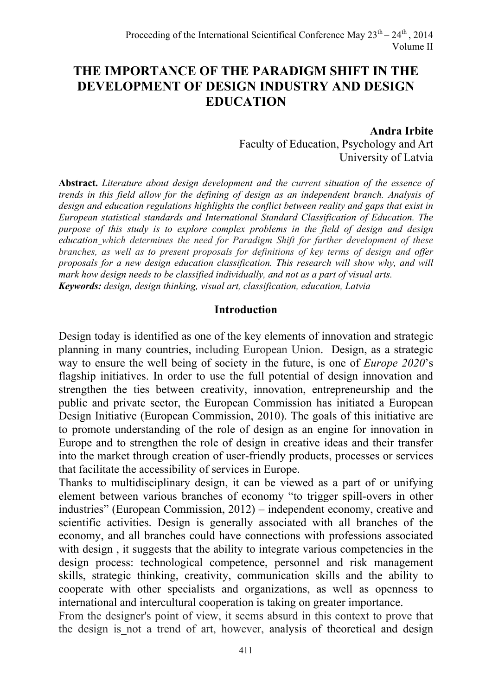# **THE IMPORTANCE OF THE PARADIGM SHIFT IN THE DEVELOPMENT OF DESIGN INDUSTRY AND DESIGN EDUCATION**

#### **Andra Irbite**

Faculty of Education, Psychology and Art University of Latvia

**Abstract.** *Literature about design development and the current situation of the essence of trends in this field allow for the defining of design as an independent branch. Analysis of design and education regulations highlights the conflict between reality and gaps that exist in European statistical standards and International Standard Classification of Education. The purpose of this study is to explore complex problems in the field of design and design education which determines the need for Paradigm Shift for further development of these branches, as well as to present proposals for definitions of key terms of design and offer proposals for a new design education classification. This research will show why, and will mark how design needs to be classified individually, and not as a part of visual arts. Keywords: design, design thinking, visual art, classification, education, Latvia* 

#### **Introduction**

Design today is identified as one of the key elements of innovation and strategic planning in many countries, including European Union. Design, as a strategic way to ensure the well being of society in the future, is one of *Europe 2020*'s flagship initiatives. In order to use the full potential of design innovation and strengthen the ties between creativity, innovation, entrepreneurship and the public and private sector, the European Commission has initiated a European Design Initiative (European Commission, 2010). The goals of this initiative are to promote understanding of the role of design as an engine for innovation in Europe and to strengthen the role of design in creative ideas and their transfer into the market through creation of user-friendly products, processes or services that facilitate the accessibility of services in Europe.

Thanks to multidisciplinary design, it can be viewed as a part of or unifying element between various branches of economy "to trigger spill-overs in other industries" (European Commission, 2012) – independent economy, creative and scientific activities. Design is generally associated with all branches of the economy, and all branches could have connections with professions associated with design, it suggests that the ability to integrate various competencies in the design process: technological competence, personnel and risk management skills, strategic thinking, creativity, communication skills and the ability to cooperate with other specialists and organizations, as well as openness to international and intercultural cooperation is taking on greater importance.

From the designer's point of view, it seems absurd in this context to prove that the design is not a trend of art, however, analysis of theoretical and design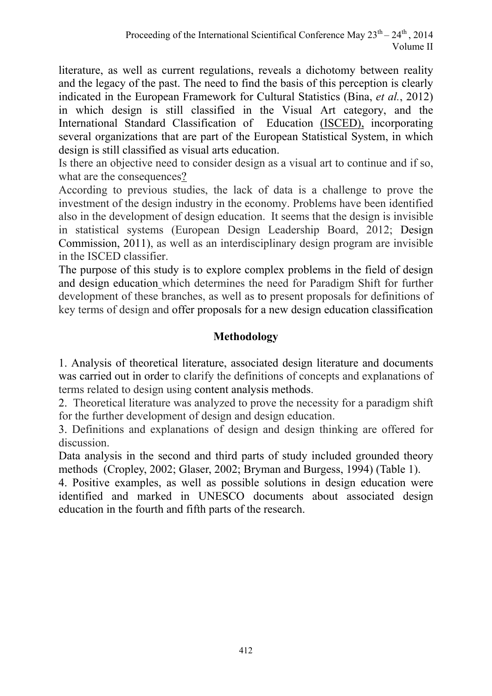literature, as well as current regulations, reveals a dichotomy between reality and the legacy of the past. The need to find the basis of this perception is clearly indicated in the European Framework for Cultural Statistics (Bina, *et al.*, 2012) in which design is still classified in the Visual Art category, and the International Standard Classification of Education (ISCED), incorporating several organizations that are part of the European Statistical System, in which design is still classified as visual arts education.

Is there an objective need to consider design as a visual art to continue and if so, what are the consequences?

According to previous studies, the lack of data is a challenge to prove the investment of the design industry in the economy. Problems have been identified also in the development of design education. It seems that the design is invisible in statistical systems (European Design Leadership Board, 2012; Design Commission, 2011), as well as an interdisciplinary design program are invisible in the ISCED classifier.

The purpose of this study is to explore complex problems in the field of design and design education which determines the need for Paradigm Shift for further development of these branches, as well as to present proposals for definitions of key terms of design and offer proposals for a new design education classification

# **Methodology**

1. Analysis of theoretical literature, associated design literature and documents was carried out in order to clarify the definitions of concepts and explanations of terms related to design using content analysis methods.

2. Theoretical literature was analyzed to prove the necessity for a paradigm shift for the further development of design and design education.

3. Definitions and explanations of design and design thinking are offered for discussion.

Data analysis in the second and third parts of study included grounded theory methods (Cropley, 2002; Glaser, 2002; Bryman and Burgess, 1994) (Table 1).

4. Positive examples, as well as possible solutions in design education were identified and marked in UNESCO documents about associated design education in the fourth and fifth parts of the research.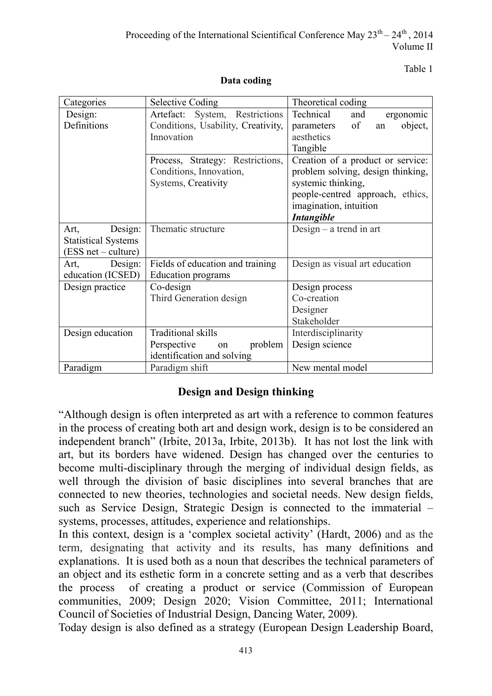Table 1

| Categories                 | <b>Selective Coding</b>                                            | Theoretical coding                |  |  |  |  |  |
|----------------------------|--------------------------------------------------------------------|-----------------------------------|--|--|--|--|--|
| Design:                    | Artefact: System, Restrictions                                     | Technical<br>and<br>ergonomic     |  |  |  |  |  |
| Definitions                | Conditions, Usability, Creativity,                                 | of<br>object,<br>parameters<br>an |  |  |  |  |  |
|                            | Innovation                                                         | aesthetics                        |  |  |  |  |  |
|                            |                                                                    | Tangible                          |  |  |  |  |  |
|                            | Process, Strategy: Restrictions,                                   | Creation of a product or service: |  |  |  |  |  |
|                            | Conditions, Innovation,                                            | problem solving, design thinking, |  |  |  |  |  |
|                            | Systems, Creativity                                                | systemic thinking,                |  |  |  |  |  |
|                            |                                                                    | people-centred approach, ethics,  |  |  |  |  |  |
|                            |                                                                    | imagination, intuition            |  |  |  |  |  |
|                            |                                                                    | <b>Intangible</b>                 |  |  |  |  |  |
| Design:<br>Art,            | Thematic structure                                                 | Design $-$ a trend in art         |  |  |  |  |  |
| <b>Statistical Systems</b> |                                                                    |                                   |  |  |  |  |  |
| (ESS net – culture)        |                                                                    |                                   |  |  |  |  |  |
| Design:<br>Art,            | Fields of education and training<br>Design as visual art education |                                   |  |  |  |  |  |
| education (ICSED)          | <b>Education</b> programs                                          |                                   |  |  |  |  |  |
| Design practice            | Co-design                                                          | Design process                    |  |  |  |  |  |
|                            | Third Generation design                                            | Co-creation                       |  |  |  |  |  |
|                            |                                                                    | Designer                          |  |  |  |  |  |
|                            |                                                                    | Stakeholder                       |  |  |  |  |  |
| Design education           | <b>Traditional skills</b>                                          | Interdisciplinarity               |  |  |  |  |  |
|                            | problem<br>Perspective<br>on                                       | Design science                    |  |  |  |  |  |
|                            | identification and solving                                         |                                   |  |  |  |  |  |
| Paradigm                   | Paradigm shift                                                     | New mental model                  |  |  |  |  |  |

#### **Data coding**

#### **Design and Design thinking**

"Although design is often interpreted as art with a reference to common features in the process of creating both art and design work, design is to be considered an independent branch" (Irbite, 2013a, Irbite, 2013b). It has not lost the link with art, but its borders have widened. Design has changed over the centuries to become multi-disciplinary through the merging of individual design fields, as well through the division of basic disciplines into several branches that are connected to new theories, technologies and societal needs. New design fields, such as Service Design, Strategic Design is connected to the immaterial – systems, processes, attitudes, experience and relationships.

In this context, design is a 'complex societal activity' (Hardt, 2006) and as the term, designating that activity and its results, has many definitions and explanations. It is used both as a noun that describes the technical parameters of an object and its esthetic form in a concrete setting and as a verb that describes the process of creating a product or service (Commission of European communities, 2009; Design 2020; Vision Committee, 2011; International Council of Societies of Industrial Design, Dancing Water, 2009).

Today design is also defined as a strategy (European Design Leadership Board,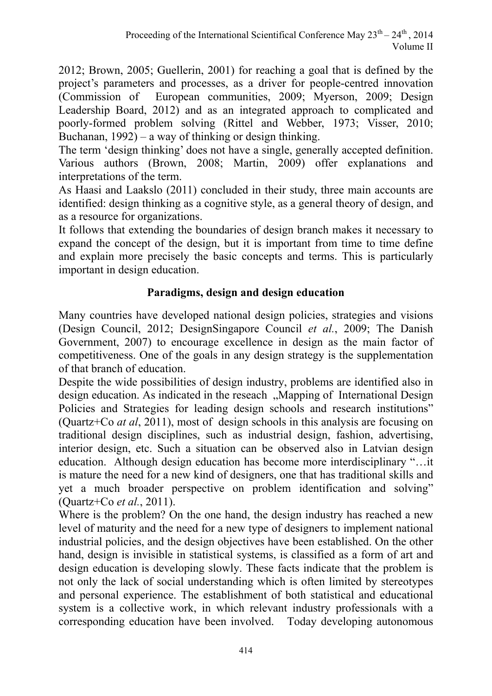2012; Brown, 2005; Guellerin, 2001) for reaching a goal that is defined by the project's parameters and processes, as a driver for people-centred innovation (Commission of European communities, 2009; Myerson, 2009; Design Leadership Board, 2012) and as an integrated approach to complicated and poorly-formed problem solving (Rittel and Webber, 1973; Visser, 2010; Buchanan,  $1992$ ) – a way of thinking or design thinking.

The term 'design thinking' does not have a single, generally accepted definition. Various authors (Brown, 2008; Martin, 2009) offer explanations and interpretations of the term.

As Haasi and Laakslo (2011) concluded in their study, three main accounts are identified: design thinking as a cognitive style, as a general theory of design, and as a resource for organizations.

It follows that extending the boundaries of design branch makes it necessary to expand the concept of the design, but it is important from time to time define and explain more precisely the basic concepts and terms. This is particularly important in design education.

# **Paradigms, design and design education**

Many countries have developed national design policies, strategies and visions (Design Council, 2012; DesignSingapore Council *et al.*, 2009; The Danish Government, 2007) to encourage excellence in design as the main factor of competitiveness. One of the goals in any design strategy is the supplementation of that branch of education.

Despite the wide possibilities of design industry, problems are identified also in design education. As indicated in the reseach "Mapping of International Design" Policies and Strategies for leading design schools and research institutions" (Quartz+Co *at al*, 2011), most of design schools in this analysis are focusing on traditional design disciplines, such as industrial design, fashion, advertising, interior design, etc. Such a situation can be observed also in Latvian design education. Although design education has become more interdisciplinary "…it is mature the need for a new kind of designers, one that has traditional skills and yet a much broader perspective on problem identification and solving" (Quartz+Co *et al.*, 2011).

Where is the problem? On the one hand, the design industry has reached a new level of maturity and the need for a new type of designers to implement national industrial policies, and the design objectives have been established. On the other hand, design is invisible in statistical systems, is classified as a form of art and design education is developing slowly. These facts indicate that the problem is not only the lack of social understanding which is often limited by stereotypes and personal experience. The establishment of both statistical and educational system is a collective work, in which relevant industry professionals with a corresponding education have been involved. Today developing autonomous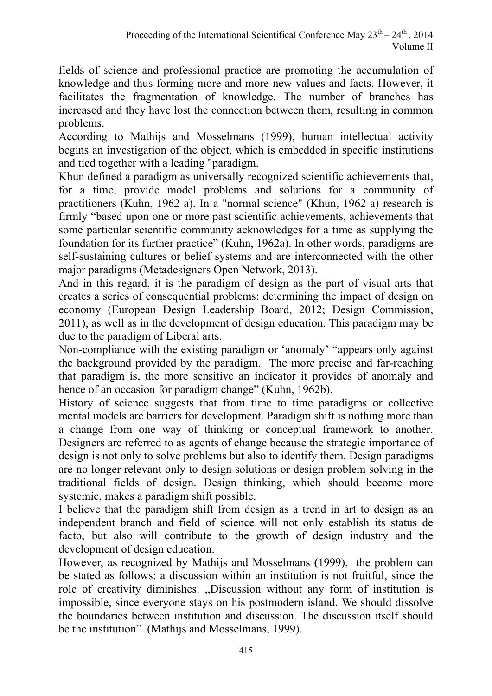fields of science and professional practice are promoting the accumulation of knowledge and thus forming more and more new values and facts. However, it facilitates the fragmentation of knowledge. The number of branches has increased and they have lost the connection between them, resulting in common problems.

According to Mathijs and Mosselmans (1999), human intellectual activity begins an investigation of the object, which is embedded in specific institutions and tied together with a leading "paradigm.

Khun defined a paradigm as universally recognized scientific achievements that, for a time, provide model problems and solutions for a community of practitioners (Kuhn, 1962 a). In a "normal science" (Khun, 1962 a) research is firmly "based upon one or more past scientific achievements, achievements that some particular scientific community acknowledges for a time as supplying the foundation for its further practice" (Kuhn, 1962a). In other words, paradigms are self-sustaining cultures or belief systems and are interconnected with the other major paradigms (Metadesigners Open Network, 2013).

And in this regard, it is the paradigm of design as the part of visual arts that creates a series of consequential problems: determining the impact of design on economy (European Design Leadership Board, 2012; Design Commission, 2011), as well as in the development of design education. This paradigm may be due to the paradigm of Liberal arts.

Non-compliance with the existing paradigm or 'anomaly' "appears only against the background provided by the paradigm. The more precise and far-reaching that paradigm is, the more sensitive an indicator it provides of anomaly and hence of an occasion for paradigm change" (Kuhn, 1962b).

History of science suggests that from time to time paradigms or collective mental models are barriers for development. Paradigm shift is nothing more than a change from one way of thinking or conceptual framework to another. Designers are referred to as agents of change because the strategic importance of design is not only to solve problems but also to identify them. Design paradigms are no longer relevant only to design solutions or design problem solving in the traditional fields of design. Design thinking, which should become more systemic, makes a paradigm shift possible.

I believe that the paradigm shift from design as a trend in art to design as an independent branch and field of science will not only establish its status de facto, but also will contribute to the growth of design industry and the development of design education.

However, as recognized by Mathijs and Mosselmans **(**1999), the problem can be stated as follows: a discussion within an institution is not fruitful, since the role of creativity diminishes. "Discussion without any form of institution is impossible, since everyone stays on his postmodern island. We should dissolve the boundaries between institution and discussion. The discussion itself should be the institution" (Mathijs and Mosselmans, 1999).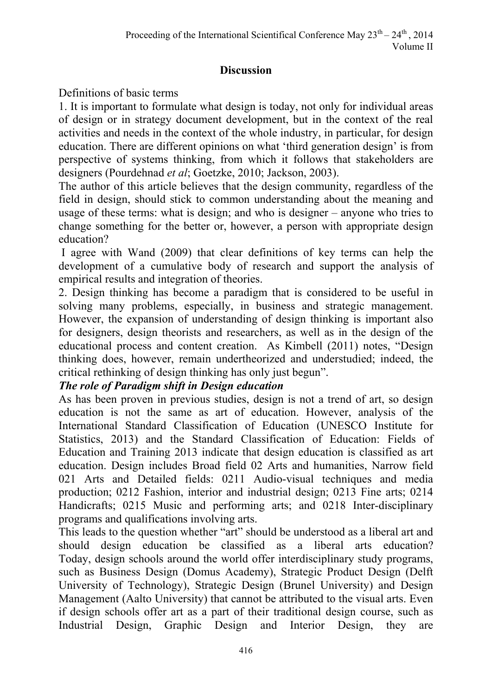#### **Discussion**

# Definitions of basic terms

1. It is important to formulate what design is today, not only for individual areas of design or in strategy document development, but in the context of the real activities and needs in the context of the whole industry, in particular, for design education. There are different opinions on what 'third generation design' is from perspective of systems thinking, from which it follows that stakeholders are designers (Pourdehnad *et al*; Goetzke, 2010; Jackson, 2003).

The author of this article believes that the design community, regardless of the field in design, should stick to common understanding about the meaning and usage of these terms: what is design; and who is designer – anyone who tries to change something for the better or, however, a person with appropriate design education?

 I agree with Wand (2009) that clear definitions of key terms can help the development of a cumulative body of research and support the analysis of empirical results and integration of theories.

2. Design thinking has become a paradigm that is considered to be useful in solving many problems, especially, in business and strategic management. However, the expansion of understanding of design thinking is important also for designers, design theorists and researchers, as well as in the design of the educational process and content creation. As Kimbell (2011) notes, "Design thinking does, however, remain undertheorized and understudied; indeed, the critical rethinking of design thinking has only just begun".

# *The role of Paradigm shift in Design education*

As has been proven in previous studies, design is not a trend of art, so design education is not the same as art of education. However, analysis of the International Standard Classification of Education (UNESCO Institute for Statistics, 2013) and the Standard Classification of Education: Fields of Education and Training 2013 indicate that design education is classified as art education. Design includes Broad field 02 Arts and humanities, Narrow field 021 Arts and Detailed fields: 0211 Audio-visual techniques and media production; 0212 Fashion, interior and industrial design; 0213 Fine arts; 0214 Handicrafts; 0215 Music and performing arts; and 0218 Inter-disciplinary programs and qualifications involving arts.

This leads to the question whether "art" should be understood as a liberal art and should design education be classified as a liberal arts education? Today, design schools around the world offer interdisciplinary study programs, such as Business Design (Domus Academy), Strategic Product Design (Delft University of Technology), Strategic Design (Brunel University) and Design Management (Aalto University) that cannot be attributed to the visual arts. Even if design schools offer art as a part of their traditional design course, such as Industrial Design, Graphic Design and Interior Design, they are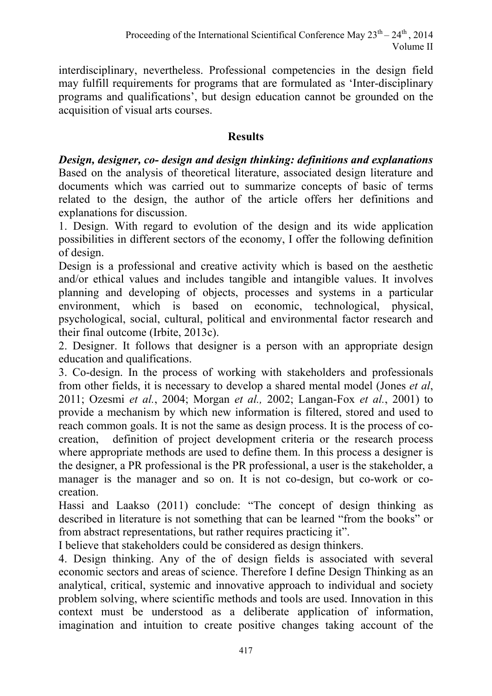interdisciplinary, nevertheless. Professional competencies in the design field may fulfill requirements for programs that are formulated as 'Inter-disciplinary programs and qualifications', but design education cannot be grounded on the acquisition of visual arts courses.

#### **Results**

*Design, designer, co- design and design thinking: definitions and explanations*  Based on the analysis of theoretical literature, associated design literature and documents which was carried out to summarize concepts of basic of terms related to the design, the author of the article offers her definitions and explanations for discussion.

1. Design. With regard to evolution of the design and its wide application possibilities in different sectors of the economy, I offer the following definition of design.

Design is a professional and creative activity which is based on the aesthetic and/or ethical values and includes tangible and intangible values. It involves planning and developing of objects, processes and systems in a particular environment, which is based on economic, technological, physical, psychological, social, cultural, political and environmental factor research and their final outcome (Irbite, 2013c).

2. Designer. It follows that designer is a person with an appropriate design education and qualifications.

3. Co-design. In the process of working with stakeholders and professionals from other fields, it is necessary to develop a shared mental model (Jones *et al*, 2011; Ozesmi *et al.*, 2004; Morgan *et al.,* 2002; Langan-Fox *et al.*, 2001) to provide a mechanism by which new information is filtered, stored and used to reach common goals. It is not the same as design process. It is the process of cocreation, definition of project development criteria or the research process where appropriate methods are used to define them. In this process a designer is the designer, a PR professional is the PR professional, a user is the stakeholder, a manager is the manager and so on. It is not co-design, but co-work or cocreation.

Hassi and Laakso (2011) conclude: "The concept of design thinking as described in literature is not something that can be learned "from the books" or from abstract representations, but rather requires practicing it".

I believe that stakeholders could be considered as design thinkers.

4. Design thinking. Any of the of design fields is associated with several economic sectors and areas of science. Therefore I define Design Thinking as an analytical, critical, systemic and innovative approach to individual and society problem solving, where scientific methods and tools are used. Innovation in this context must be understood as a deliberate application of information, imagination and intuition to create positive changes taking account of the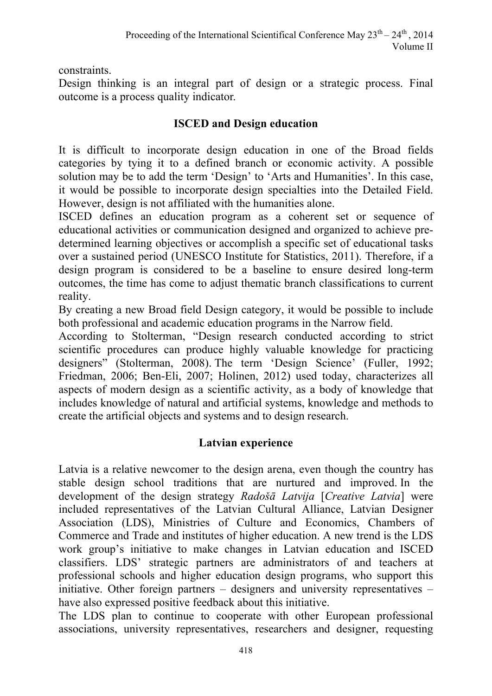constraints.

Design thinking is an integral part of design or a strategic process. Final outcome is a process quality indicator.

#### **ISCED and Design education**

It is difficult to incorporate design education in one of the Broad fields categories by tying it to a defined branch or economic activity. A possible solution may be to add the term 'Design' to 'Arts and Humanities'. In this case, it would be possible to incorporate design specialties into the Detailed Field. However, design is not affiliated with the humanities alone.

ISCED defines an education program as a coherent set or sequence of educational activities or communication designed and organized to achieve predetermined learning objectives or accomplish a specific set of educational tasks over a sustained period (UNESCO Institute for Statistics, 2011). Therefore, if a design program is considered to be a baseline to ensure desired long-term outcomes, the time has come to adjust thematic branch classifications to current reality.

By creating a new Broad field Design category, it would be possible to include both professional and academic education programs in the Narrow field.

According to Stolterman, "Design research conducted according to strict scientific procedures can produce highly valuable knowledge for practicing designers" (Stolterman, 2008). The term 'Design Science' (Fuller, 1992; Friedman, 2006; Ben-Eli, 2007; Holinen, 2012) used today, characterizes all aspects of modern design as a scientific activity, as a body of knowledge that includes knowledge of natural and artificial systems, knowledge and methods to create the artificial objects and systems and to design research.

#### **Latvian experience**

Latvia is a relative newcomer to the design arena, even though the country has stable design school traditions that are nurtured and improved. In the development of the design strategy *Radošā Latvija* [*Creative Latvia*] were included representatives of the Latvian Cultural Alliance, Latvian Designer Association (LDS), Ministries of Culture and Economics, Chambers of Commerce and Trade and institutes of higher education. A new trend is the LDS work group's initiative to make changes in Latvian education and ISCED classifiers. LDS' strategic partners are administrators of and teachers at professional schools and higher education design programs, who support this initiative. Other foreign partners – designers and university representatives – have also expressed positive feedback about this initiative.

The LDS plan to continue to cooperate with other European professional associations, university representatives, researchers and designer, requesting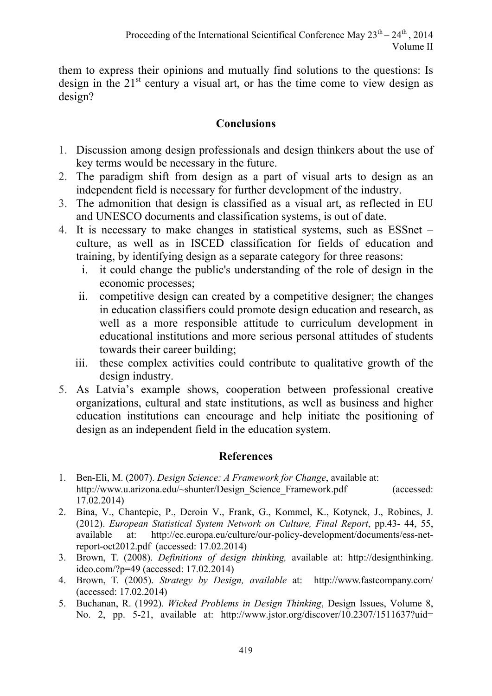them to express their opinions and mutually find solutions to the questions: Is design in the  $21<sup>st</sup>$  century a visual art, or has the time come to view design as design?

# **Conclusions**

- 1. Discussion among design professionals and design thinkers about the use of key terms would be necessary in the future.
- 2. The paradigm shift from design as a part of visual arts to design as an independent field is necessary for further development of the industry.
- 3. The admonition that design is classified as a visual art, as reflected in EU and UNESCO documents and classification systems, is out of date.
- 4. It is necessary to make changes in statistical systems, such as ESSnet culture, as well as in ISCED classification for fields of education and training, by identifying design as a separate category for three reasons:
	- i. it could change the public's understanding of the role of design in the economic processes;
	- ii. competitive design can created by a competitive designer; the changes in education classifiers could promote design education and research, as well as a more responsible attitude to curriculum development in educational institutions and more serious personal attitudes of students towards their career building;
	- iii. these complex activities could contribute to qualitative growth of the design industry.
- 5. As Latvia's example shows, cooperation between professional creative organizations, cultural and state institutions, as well as business and higher education institutions can encourage and help initiate the positioning of design as an independent field in the education system.

# **References**

- 1. Ben-Eli, M. (2007). *Design Science: A Framework for Change*, available at: http://www.u.arizona.edu/~shunter/Design\_Science\_Framework.pdf (accessed: 17.02.2014)
- 2. Bina, V., Chantepie, P., Deroin V., Frank, G., Kommel, K., Kotynek, J., Robines, J. (2012). *European Statistical System Network on Culture, Final Report*, pp.43- 44, 55, available at: http://ec.europa.eu/culture/our-policy-development/documents/ess-netreport-oct2012.pdf (accessed: 17.02.2014)
- 3. Brown, T. (2008). *Definitions of design thinking,* available at: http://designthinking. ideo.com/?p=49 (accessed: 17.02.2014)
- 4. Brown, T. (2005). *Strategy by Design, available* at: http://www.fastcompany.com/ (accessed: 17.02.2014)
- 5. Buchanan, R. (1992). *Wicked Problems in Design Thinking*, Design Issues, Volume 8, No. 2, pp. 5-21, available at: http://www.jstor.org/discover/10.2307/1511637?uid=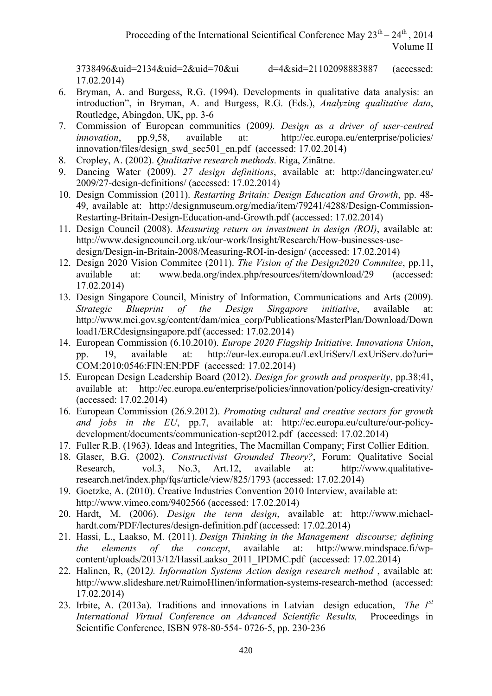17.02.2014)

3738496&uid=2134&uid=2&uid=70&ui d=4&sid=21102098883887 (accessed:

- 6. Bryman, A. and Burgess, R.G. (1994). Developments in qualitative data analysis: an introduction", in Bryman, A. and Burgess, R.G. (Eds.), *Analyzing qualitative data*, Routledge, Abingdon, UK, pp. 3-6
- 7. Commission of European communities (2009*). Design as a driver of user-centred innovation*, pp.9,58, available at: http://ec.europa.eu/enterprise/policies/ innovation/files/design\_swd\_sec501\_en.pdf (accessed: 17.02.2014)
- 8. Cropley, A. (2002). *Qualitative research methods*. Riga, Zinātne.
- 9. Dancing Water (2009). *27 design definitions*, available at: http://dancingwater.eu/ 2009/27-design-definitions/ (accessed: 17.02.2014)
- 10. Design Commission (2011). *Restarting Britain: Design Education and Growth*, pp. 48- 49, available at: http://designmuseum.org/media/item/79241/4288/Design-Commission-Restarting-Britain-Design-Education-and-Growth.pdf (accessed: 17.02.2014)
- 11. Design Council (2008). *Measuring return on investment in design (ROI)*, available at: http://www.designcouncil.org.uk/our-work/Insight/Research/How-businesses-usedesign/Design-in-Britain-2008/Measuring-ROI-in-design/ (accessed: 17.02.2014)
- 12. Design 2020 Vision Commitee (2011). *The Vision of the Design2020 Commitee*, pp.11, available at: www.beda.org/index.php/resources/item/download/29 (accessed: 17.02.2014)
- 13. Design Singapore Council, Ministry of Information, Communications and Arts (2009). *Strategic Blueprint of the Design Singapore initiative*, available at: http://www.mci.gov.sg/content/dam/mica\_corp/Publications/MasterPlan/Download/Down load1/ERCdesignsingapore.pdf (accessed: 17.02.2014)
- 14. European Commission (6.10.2010). *Europe 2020 Flagship Initiative. Innovations Union*, pp. 19, available at: http://eur-lex.europa.eu/LexUriServ/LexUriServ.do?uri= COM:2010:0546:FIN:EN:PDF (accessed: 17.02.2014)
- 15. European Design Leadership Board (2012). *Design for growth and prosperity*, pp.38;41, available at: http://ec.europa.eu/enterprise/policies/innovation/policy/design-creativity/ (accessed: 17.02.2014)
- 16. European Commission (26.9.2012). *Promoting cultural and creative sectors for growth and jobs in the EU*, pp.7, available at: http://ec.europa.eu/culture/our-policydevelopment/documents/communication-sept2012.pdf (accessed: 17.02.2014)
- 17. Fuller R.B. (1963). Ideas and Integrities, The Macmillan Company; First Collier Edition.
- 18. Glaser, B.G. (2002). *Constructivist Grounded Theory?*, Forum: Qualitative Social Research, vol.3, No.3, Art.12, available at: http://www.qualitativeresearch.net/index.php/fqs/article/view/825/1793 (accessed: 17.02.2014)
- 19. Goetzke, A. (2010). Creative Industries Convention 2010 Interview, available at: http://www.vimeo.com/9402566 (accessed: 17.02.2014)
- 20. Hardt, M. (2006). *Design the term design*, available at: http://www.michaelhardt.com/PDF/lectures/design-definition.pdf (accessed: 17.02.2014)
- 21. Hassi, L., Laakso, M. (2011). *Design Thinking in the Management discourse; defining the elements of the concept*, available at: http://www.mindspace.fi/wpcontent/uploads/2013/12/HassiLaakso\_2011\_IPDMC.pdf (accessed: 17.02.2014)
- 22. Halinen, R, (2012*). Information Systems Action design research method* , available at: http://www.slideshare.net/RaimoHlinen/information-systems-research-method (accessed: 17.02.2014)
- 23. Irbite, A. (2013a). Traditions and innovations in Latvian design education, *The 1st International Virtual Conference on Advanced Scientific Results,* Proceedings in Scientific Conference, ISBN 978-80-554- 0726-5, pp. 230-236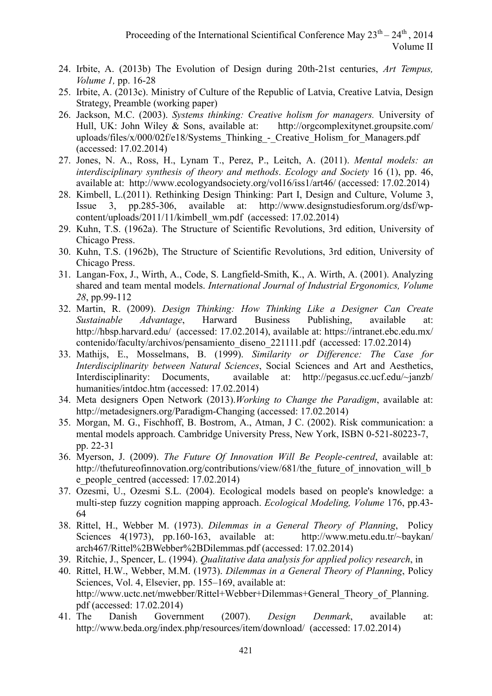- 24. Irbite, A. (2013b) The Evolution of Design during 20th-21st centuries, *Art Tempus, Volume 1,* pp. 16-28
- 25. Irbite, A. (2013c). Ministry of Culture of the Republic of Latvia, Creative Latvia, Design Strategy, Preamble (working paper)
- 26. Jackson, M.C. (2003). *Systems thinking: Creative holism for managers.* University of Hull, UK: John Wiley & Sons, available at: http://orgcomplexitynet.groupsite.com/ uploads/files/x/000/02f/e18/Systems Thinking - Creative Holism for Managers.pdf (accessed: 17.02.2014)
- 27. Jones, N. A., Ross, H., Lynam T., Perez, P., Leitch, A. (2011). *Mental models: an interdisciplinary synthesis of theory and methods*. *Ecology and Society* 16 (1), pp. 46, available at: http://www.ecologyandsociety.org/vol16/iss1/art46/ (accessed: 17.02.2014)
- 28. Kimbell, L.(2011). Rethinking Design Thinking: Part I, Design and Culture, Volume 3, Issue 3, pp.285-306, available at: http://www.designstudiesforum.org/dsf/wpcontent/uploads/2011/11/kimbell\_wm.pdf (accessed: 17.02.2014)
- 29. Kuhn, T.S. (1962a). The Structure of Scientific Revolutions, 3rd edition, University of Chicago Press.
- 30. Kuhn, T.S. (1962b), The Structure of Scientific Revolutions, 3rd edition, University of Chicago Press.
- 31. Langan-Fox, J., Wirth, A., Code, S. Langfield-Smith, K., A. Wirth, A. (2001). Analyzing shared and team mental models. *International Journal of Industrial Ergonomics, Volume 28*, pp.99-112
- 32. Martin, R. (2009). *Design Thinking: How Thinking Like a Designer Can Create Sustainable Advantage*, Harward Business Publishing, available at: http://hbsp.harvard.edu/ (accessed: 17.02.2014), available at: https://intranet.ebc.edu.mx/ contenido/faculty/archivos/pensamiento\_diseno\_221111.pdf (accessed: 17.02.2014)
- 33. Mathijs, E., Mosselmans, B. (1999). *Similarity or Difference: The Case for Interdisciplinarity between Natural Sciences*, Social Sciences and Art and Aesthetics, Interdisciplinarity: Documents, available at: http://pegasus.cc.ucf.edu/~janzb/ humanities/intdoc.htm (accessed: 17.02.2014)
- 34. Meta designers Open Network (2013).*Working to Change the Paradigm*, available at: http://metadesigners.org/Paradigm-Changing (accessed: 17.02.2014)
- 35. Morgan, M. G., Fischhoff, B. Bostrom, A., Atman, J C. (2002). Risk communication: a mental models approach. Cambridge University Press, New York, ISBN 0-521-80223-7, pp. 22-31
- 36. Myerson, J. (2009). *The Future Of Innovation Will Be People-centred*, available at: http://thefutureofinnovation.org/contributions/view/681/the future of innovation will b e\_people\_centred (accessed: 17.02.2014)
- 37. Ozesmi, U., Ozesmi S.L. (2004). Ecological models based on people's knowledge: a multi-step fuzzy cognition mapping approach. *Ecological Modeling, Volume* 176, pp.43- 64
- 38. Rittel, H., Webber M. (1973). *Dilemmas in a General Theory of Planning*, Policy Sciences 4(1973), pp.160-163, available at: http://www.metu.edu.tr/~baykan/ arch467/Rittel%2BWebber%2BDilemmas.pdf (accessed: 17.02.2014)
- 39. Ritchie, J., Spencer, L. (1994). *Qualitative data analysis for applied policy research*, in
- 40. Rittel, H.W., Webber, M.M. (1973). *Dilemmas in a General Theory of Planning*, Policy Sciences, Vol. 4, Elsevier, pp. 155–169, available at: http://www.uctc.net/mwebber/Rittel+Webber+Dilemmas+General\_Theory\_of\_Planning. pdf (accessed: 17.02.2014)
- 41. The Danish Government (2007). *Design Denmark*, available at: http://www.beda.org/index.php/resources/item/download/ (accessed: 17.02.2014)